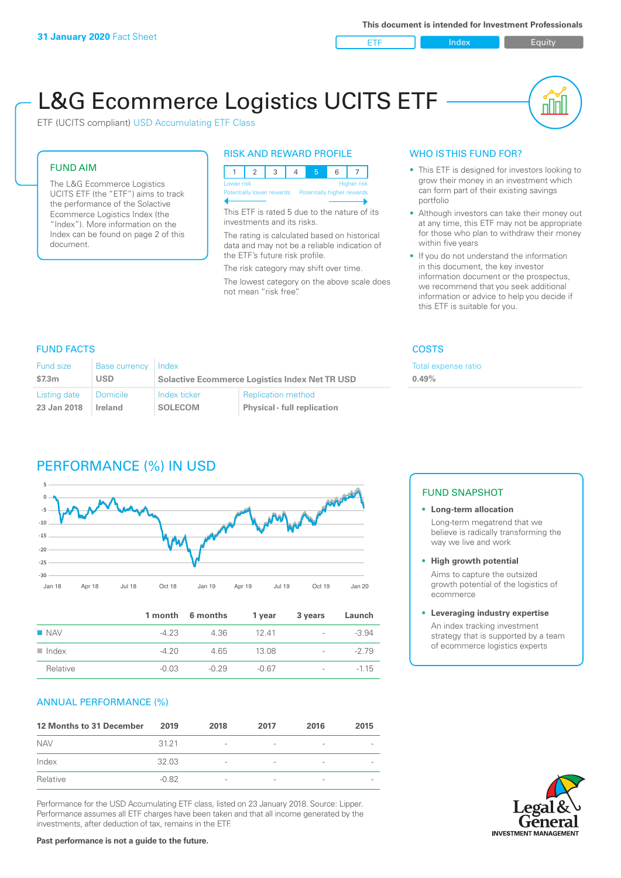ETF Index Builty

nN

# L&G Ecommerce Logistics UCITS ETF

ETF (UCITS compliant) USD Accumulating ETF Class

### FUND AIM

The L&G Ecommerce Logistics UCITS ETF (the "ETF") aims to track the performance of the Solactive Ecommerce Logistics Index (the "Index"). More information on the Index can be found on page 2 of this document.

### RISK AND REWARD PROFILE



This ETF is rated 5 due to the nature of its investments and its risks.

The rating is calculated based on historical data and may not be a reliable indication of the ETF's future risk profile.

The risk category may shift over time. The lowest category on the above scale does not mean "risk free".

### WHO IS THIS FUND FOR?

- This ETF is designed for investors looking to grow their money in an investment which can form part of their existing savings portfolio
- Although investors can take their money out at any time, this ETF may not be appropriate for those who plan to withdraw their money within five years
- If you do not understand the information in this document, the key investor information document or the prospectus, we recommend that you seek additional information or advice to help you decide if this ETF is suitable for you.

**0.49%**

Total expense ratio

### FUND FACTS COSTS

| Fund size    | Base currency | l Index                                               |                                    |  |
|--------------|---------------|-------------------------------------------------------|------------------------------------|--|
| \$7.3m       | USD           | <b>Solactive Ecommerce Logistics Index Net TR USD</b> |                                    |  |
| Listing date | Domicile      | Index ticker                                          | <b>Replication method</b>          |  |
| 23 Jan 2018  | Ireland       | <b>SOLECOM</b>                                        | <b>Physical - full replication</b> |  |

## PERFORMANCE (%) IN USD



|                      |         | 1 month 6 months | 1 year  | 3 years                  | Launch  |
|----------------------|---------|------------------|---------|--------------------------|---------|
| $\blacksquare$ NAV   | $-423$  | 4.36             | - 12 41 | $\sim$                   | $-3.94$ |
| $\blacksquare$ Index | $-420$  | 4.65             | 13.08   |                          | $-279$  |
| Relative             | $-0.03$ | $-0.29$          | $-0.67$ | $\overline{\phantom{a}}$ | $-1.15$ |

### ANNUAL PERFORMANCE (%)

| 12 Months to 31 December | 2019    | 2018                     | 2017                     | 2016                     | 2015                     |
|--------------------------|---------|--------------------------|--------------------------|--------------------------|--------------------------|
| <b>NAV</b>               | 3121    | $\overline{\phantom{a}}$ | $\qquad \qquad$          | $\qquad \qquad$          | $\overline{\phantom{a}}$ |
| Index                    | 32.03   | $\overline{\phantom{a}}$ | $\overline{\phantom{0}}$ | $\overline{\phantom{a}}$ | $\overline{\phantom{a}}$ |
| Relative                 | $-0.82$ | $\overline{\phantom{a}}$ | $\overline{\phantom{a}}$ |                          | $\overline{\phantom{a}}$ |

Performance for the USD Accumulating ETF class, listed on 23 January 2018. Source: Lipper. Performance assumes all ETF charges have been taken and that all income generated by the investments, after deduction of tax, remains in the ETF.

### FUND SNAPSHOT

#### **• Long-term allocation** Long-term megatrend that we believe is radically transforming the way we live and work

**• High growth potential** Aims to capture the outsized growth potential of the logistics of ecommerce

#### **• Leveraging industry expertise**

An index tracking investment strategy that is supported by a team of ecommerce logistics experts

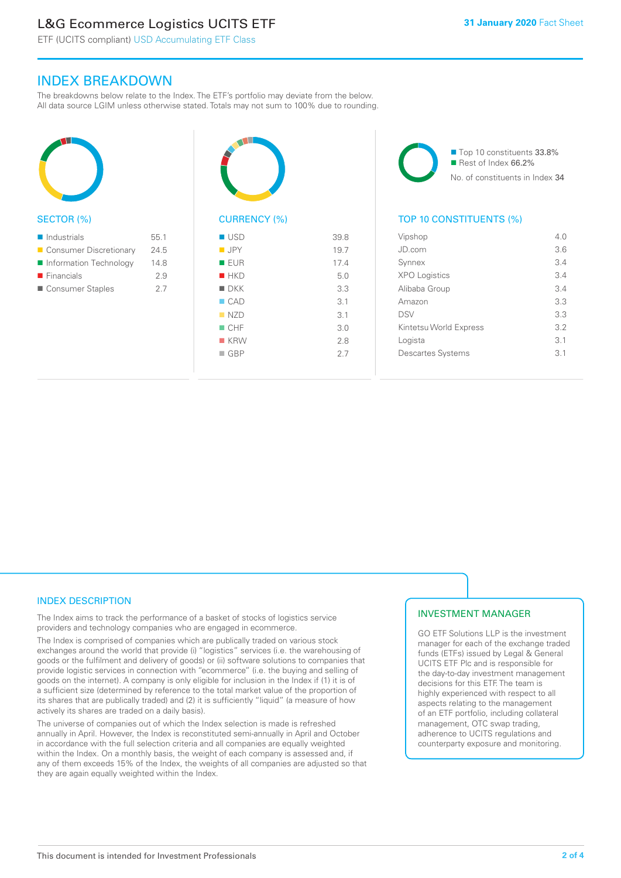### L&G Ecommerce Logistics UCITS ETF

ETF (UCITS compliant) USD Accumulating ETF Class

### INDEX BREAKDOWN

The breakdowns below relate to the Index. The ETF's portfolio may deviate from the below. All data source LGIM unless otherwise stated. Totals may not sum to 100% due to rounding.



#### SECTOR (%)

| $\blacksquare$ Industrials | 55.1 |
|----------------------------|------|
| ■ Consumer Discretionary   | 24.5 |
| Information Technology     | 14.8 |
| $\blacksquare$ Financials  | 29   |
| Consumer Staples           | 27   |



### CURRENCY (%)

| $\blacksquare$ USD | 39.8 |
|--------------------|------|
| $\blacksquare$ JPY | 19.7 |
| ■ EUR              | 17.4 |
| HKD                | 5.0  |
| $\blacksquare$ DKK | 3.3  |
| $\Box$ CAD         | 3.1  |
| NZD                | 3.1  |
| $\blacksquare$ CHF | 3.0  |
| $R$ KRW            | 2.8  |
| $\Box$ GBP         | 2.7  |
|                    |      |

■ Top 10 constituents 33.8% Rest of Index 66.2% No. of constituents in Index 34

### TOP 10 CONSTITUENTS (%)

| Vipshop                  | 4 N             |
|--------------------------|-----------------|
| JD com                   | 3.6             |
| Synnex                   | 3.4             |
| <b>XPO Logistics</b>     | 3.4             |
| Alibaba Group            | 34              |
| Amazon                   | 3.3             |
| <b>DSV</b>               | 3.3             |
| Kintetsu World Express   | 3.2             |
| Logista                  | 3.1             |
| <b>Descartes Systems</b> | $\overline{3}1$ |
|                          |                 |

### INDEX DESCRIPTION

The Index aims to track the performance of a basket of stocks of logistics service providers and technology companies who are engaged in ecommerce.

The Index is comprised of companies which are publically traded on various stock exchanges around the world that provide (i) "logistics" services (i.e. the warehousing of goods or the fulfilment and delivery of goods) or (ii) software solutions to companies that provide logistic services in connection with "ecommerce" (i.e. the buying and selling of goods on the internet). A company is only eligible for inclusion in the Index if (1) it is of a sufficient size (determined by reference to the total market value of the proportion of its shares that are publically traded) and (2) it is sufficiently "liquid" (a measure of how actively its shares are traded on a daily basis).

The universe of companies out of which the Index selection is made is refreshed annually in April. However, the Index is reconstituted semi-annually in April and October in accordance with the full selection criteria and all companies are equally weighted within the Index. On a monthly basis, the weight of each company is assessed and, if any of them exceeds 15% of the Index, the weights of all companies are adjusted so that they are again equally weighted within the Index.

### INVESTMENT MANAGER

GO ETF Solutions LLP is the investment manager for each of the exchange traded funds (ETFs) issued by Legal & General UCITS ETF Plc and is responsible for the day-to-day investment management decisions for this ETF. The team is highly experienced with respect to all aspects relating to the management of an ETF portfolio, including collateral management, OTC swap trading, adherence to UCITS regulations and counterparty exposure and monitoring.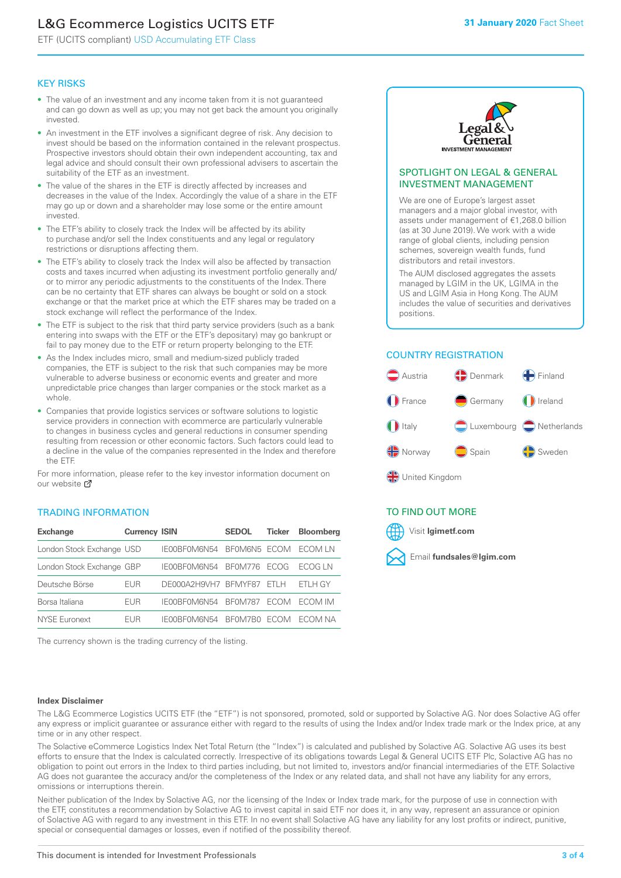### L&G Ecommerce Logistics UCITS ETF

ETF (UCITS compliant) USD Accumulating ETF Class

### KEY RISKS

- The value of an investment and any income taken from it is not guaranteed and can go down as well as up; you may not get back the amount you originally invested.
- An investment in the ETF involves a significant degree of risk. Any decision to invest should be based on the information contained in the relevant prospectus. Prospective investors should obtain their own independent accounting, tax and legal advice and should consult their own professional advisers to ascertain the suitability of the ETF as an investment.
- The value of the shares in the ETF is directly affected by increases and decreases in the value of the Index. Accordingly the value of a share in the ETF may go up or down and a shareholder may lose some or the entire amount invested.
- The ETF's ability to closely track the Index will be affected by its ability to purchase and/or sell the Index constituents and any legal or regulatory restrictions or disruptions affecting them.
- The ETF's ability to closely track the Index will also be affected by transaction costs and taxes incurred when adjusting its investment portfolio generally and/ or to mirror any periodic adjustments to the constituents of the Index. There can be no certainty that ETF shares can always be bought or sold on a stock exchange or that the market price at which the ETF shares may be traded on a stock exchange will reflect the performance of the Index.
- The ETF is subject to the risk that third party service providers (such as a bank entering into swaps with the ETF or the ETF's depositary) may go bankrupt or fail to pay money due to the ETF or return property belonging to the ETF.
- As the Index includes micro, small and medium-sized publicly traded companies, the ETF is subject to the risk that such companies may be more vulnerable to adverse business or economic events and greater and more unpredictable price changes than larger companies or the stock market as a whole.
- Companies that provide logistics services or software solutions to logistic service providers in connection with ecommerce are particularly vulnerable to changes in business cycles and general reductions in consumer spending resulting from recession or other economic factors. Such factors could lead to a decline in the value of the companies represented in the Index and therefore the ETF.

For more information, please refer to the key investor information document on our website **Z** 

### TRADING INFORMATION

| <b>Exchange</b>           | <b>Currency ISIN</b> |                      | <b>SEDOL</b>   | <b>Ticker</b> | Bloomberg |
|---------------------------|----------------------|----------------------|----------------|---------------|-----------|
| London Stock Exchange USD |                      | IE00BF0M6N54         | BFOM6N5 ECOM   |               | ECOM IN   |
| London Stock Exchange GBP |                      | IE00BF0M6N54         | <b>BF0M776</b> | <b>FCOG</b>   | FCOG IN   |
| Deutsche Börse            | EUR                  | DE000A2H9VH7 BFMYF87 |                | FTI H         | ETLH GY   |
| Borsa Italiana            | EUR                  | IE00BF0M6N54         | <b>BF0M787</b> | <b>FCOM</b>   | ECOM IM   |
| NYSE Euronext             | <b>FUR</b>           | IF00BF0M6N54         | BF0M7B0        | <b>FCOM</b>   | FCOM NA   |

The currency shown is the trading currency of the listing.



#### SPOTLIGHT ON LEGAL & GENERAL INVESTMENT MANAGEMENT

We are one of Europe's largest asset managers and a major global investor, with assets under management of €1,268.0 billion (as at 30 June 2019). We work with a wide range of global clients, including pension schemes, sovereign wealth funds, fund distributors and retail investors.

The AUM disclosed aggregates the assets managed by LGIM in the UK, LGIMA in the US and LGIM Asia in Hong Kong. The AUM includes the value of securities and derivatives positions.

### COUNTRY REGISTRATION



∰ United Kingdom

### TO FIND OUT MORE



#### **Index Disclaimer**

The L&G Ecommerce Logistics UCITS ETF (the "ETF") is not sponsored, promoted, sold or supported by Solactive AG. Nor does Solactive AG offer any express or implicit guarantee or assurance either with regard to the results of using the Index and/or Index trade mark or the Index price, at any time or in any other respect.

The Solactive eCommerce Logistics Index Net Total Return (the "Index") is calculated and published by Solactive AG. Solactive AG uses its best efforts to ensure that the Index is calculated correctly. Irrespective of its obligations towards Legal & General UCITS ETF Plc, Solactive AG has no obligation to point out errors in the Index to third parties including, but not limited to, investors and/or financial intermediaries of the ETF. Solactive AG does not guarantee the accuracy and/or the completeness of the Index or any related data, and shall not have any liability for any errors, omissions or interruptions therein.

Neither publication of the Index by Solactive AG, nor the licensing of the Index or Index trade mark, for the purpose of use in connection with the ETF, constitutes a recommendation by Solactive AG to invest capital in said ETF nor does it, in any way, represent an assurance or opinion of Solactive AG with regard to any investment in this ETF. In no event shall Solactive AG have any liability for any lost profits or indirect, punitive, special or consequential damages or losses, even if notified of the possibility thereof.